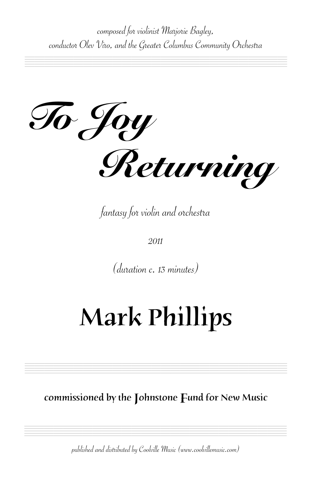composed for violinist Marjorie Bagley, conductor Olev Viro, and the Greater Columbus Community Orchestra



fantasy for violin and orchestra

2011

(duration c. 13 minutes)

# Mark Phillips

# commissioned by the Johnstone Fund for New Music

published and distributed by Coolville Music (www.coolvillemusic.com)

===========================

===========================

===========================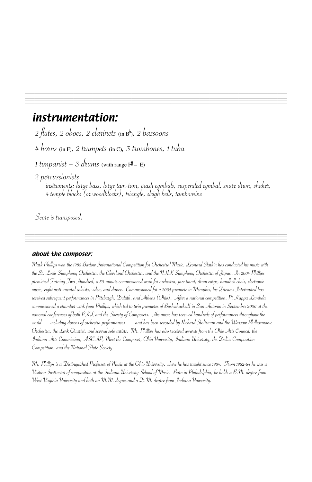===========================

### *instrumentation:*

 $2$  flutes,  $2$  oboes,  $2$  clarinets (in  $\mathbf{B}^\flat$ ),  $2$  bassoons

1  $timeout - 3$   $d$ rums (with range  $\tt F^{\sharp}$ – E)

4 horns (in F), 2 trumpets (in C), 3 trombones, 1 tuba

2 percussionists<br>instruments: large bass, large tam-tam, crash cymbals, suspended cymbal, snare drum, shaker, 4 temple blocks (or woodblocks), triangle, sleigh bells, tambourine

Score is transposed.

===========================

#### *about the composer:*

Mark Phillips won the 1988 Barlow International Competition for Orchestral Music. Leonard Slatkin has conducted his music with the St. Louis Symphony Orchestra, the Cleveland Orchestra, and the NHK Symphony Orchestra of Japan. In 2004 Phillips premiered Turning Two Hundred, a 50-minute commissioned work for orchestra, jazz band, drum corps, handbell choir, electronic music, eight instrumental soloists, video, and dance. Commissioned for a 2005 premiere in Memphis, his Dreams Interrupted has received subsequent performances in Pittsburgh, Duluth, and Athens (Ohio). After a national competition, Pi Kappa Lambda commissioned a chamber work from Phillips, which led to twin premieres of Bushwhacked! in San Antonio in September 2006 at the national conferences of both PKL and the Society of Composers. His music has received hundreds of performances throughout the world —including dozens of orchestra performances — and has been recorded by Richard Stoltzman and the Warsaw Philharmonic Orchestra, the Lark Quartet, and several solo artists. Mr. Phillips has also received awards from the Ohio Arts Council, the Indiana Arts Commission, ASCAP, Meet the Composer, Ohio University, Indiana University, the Delius Composition Competition, and the National Flute Society.

Mr. Phillips is a Distinguished Professor of Music at the Ohio University, where he has taught since 1984. From 1982-84 he was a Visiting Instructor of composition at the Indiana University School of Music. Born in Philadelphia, he holds a B.M. degree from West Virginia University and both an M.M. degree and a D.M. degree from Indiana University.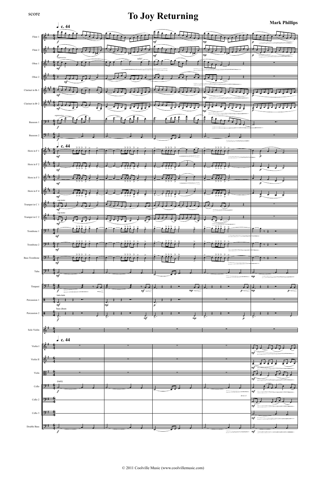## **To Joy Returning**<br>Mark Phillips



 $\Phi$ **4 6** Violin I  $\blacksquare$  $\blacksquare$  $\equiv$  $\blacksquare$  $D = D - D$ mf



© 2011 Coolville Music (www.coolvillemusic.com)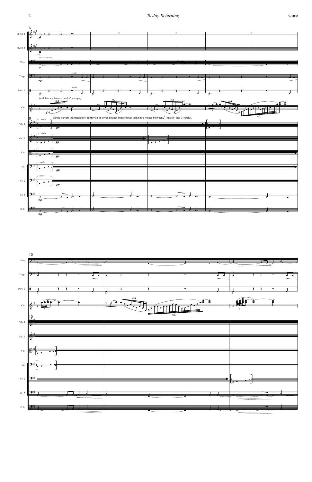



score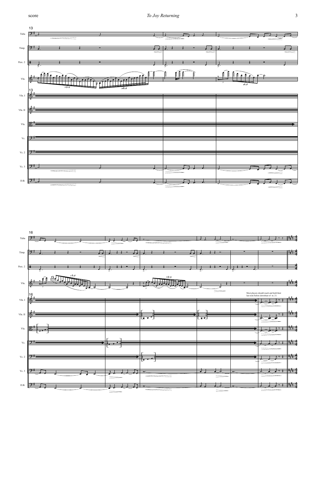



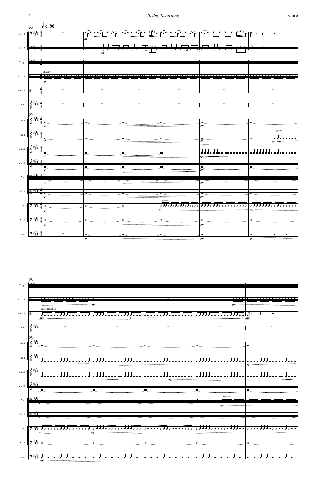

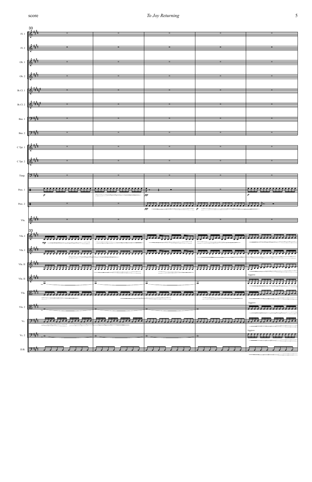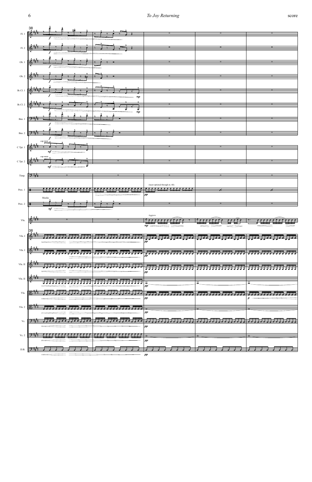![](_page_7_Figure_1.jpeg)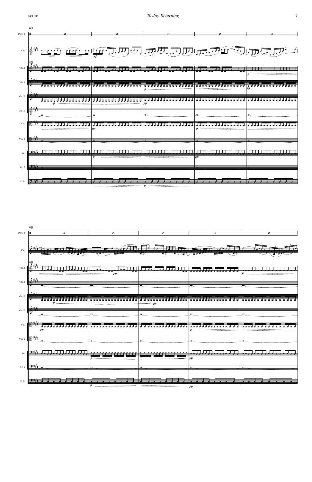![](_page_8_Figure_2.jpeg)

![](_page_8_Figure_3.jpeg)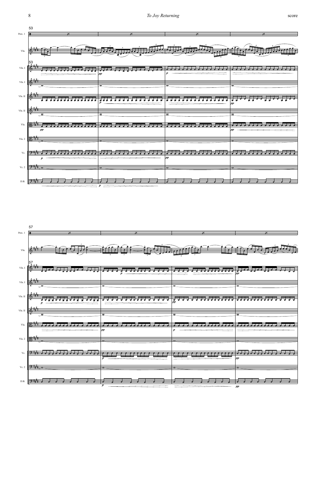![](_page_9_Figure_1.jpeg)

![](_page_9_Figure_2.jpeg)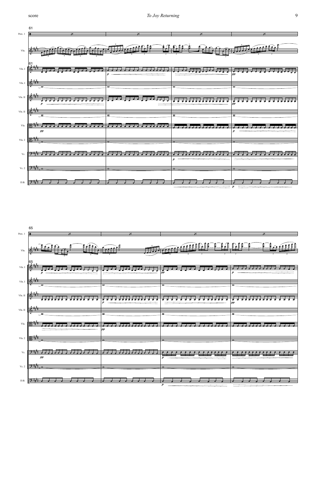![](_page_10_Figure_2.jpeg)

![](_page_10_Figure_3.jpeg)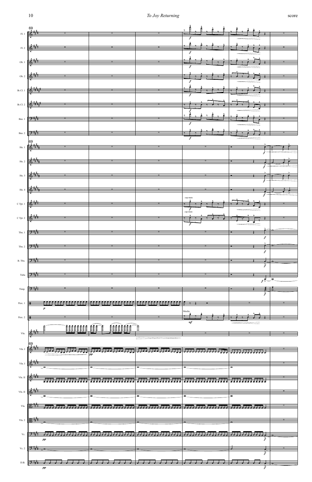![](_page_11_Figure_1.jpeg)

 $\overline{\phantom{a}}$ ,,,<del>,,,,,,,,,,,,,,</del>

![](_page_11_Figure_5.jpeg)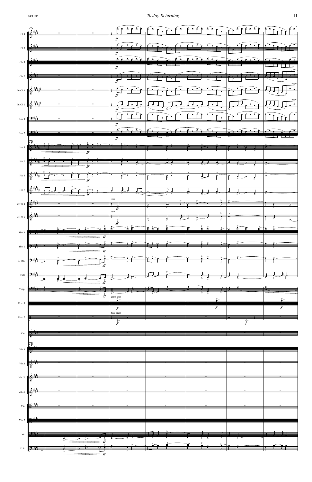![](_page_12_Figure_1.jpeg)

score

![](_page_12_Figure_4.jpeg)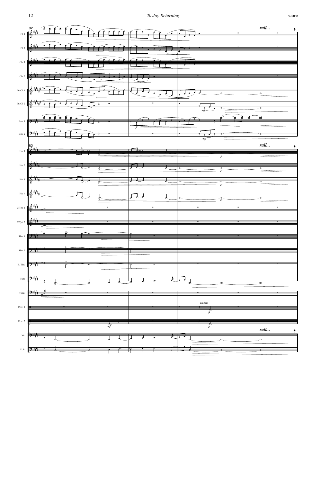![](_page_13_Figure_1.jpeg)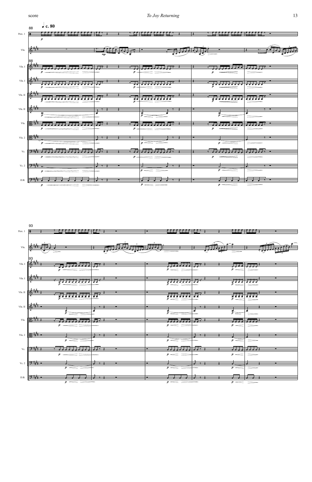![](_page_14_Figure_2.jpeg)

![](_page_14_Figure_3.jpeg)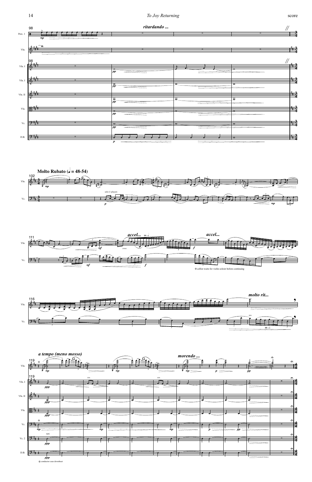![](_page_15_Figure_1.jpeg)

![](_page_15_Figure_2.jpeg)

![](_page_15_Figure_0.jpeg)

![](_page_15_Figure_3.jpeg)

\* conductor cues downbeat

![](_page_15_Figure_5.jpeg)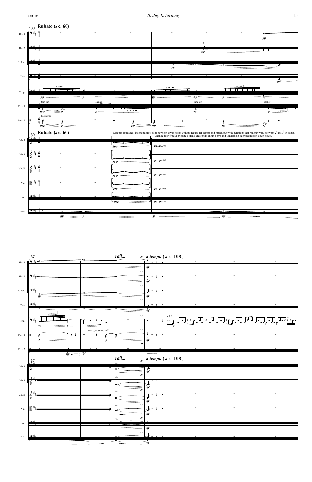![](_page_16_Figure_2.jpeg)

![](_page_16_Figure_3.jpeg)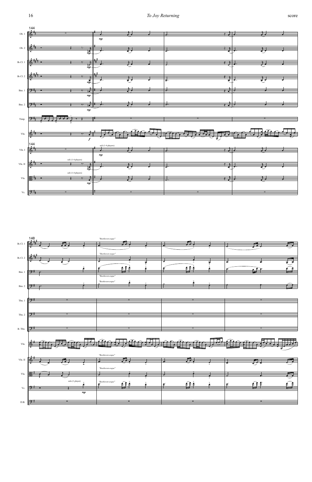![](_page_17_Figure_1.jpeg)

![](_page_17_Figure_2.jpeg)

![](_page_17_Figure_5.jpeg)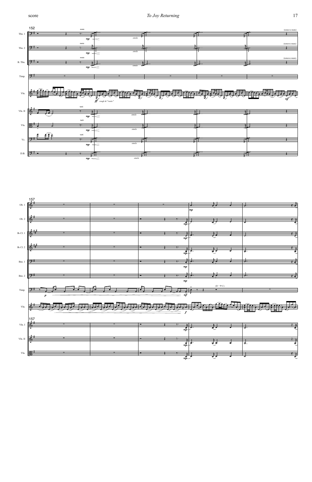![](_page_18_Figure_2.jpeg)

![](_page_18_Figure_3.jpeg)

|  | ,,,,, |  |  |  |
|--|-------|--|--|--|
|  |       |  |  |  |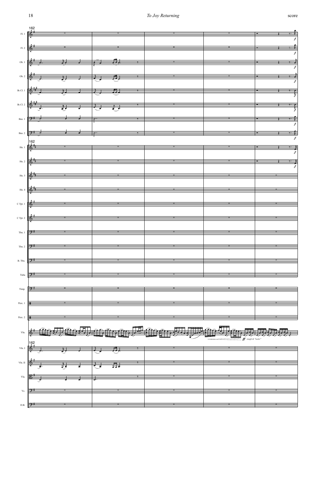![](_page_19_Figure_1.jpeg)

![](_page_19_Figure_4.jpeg)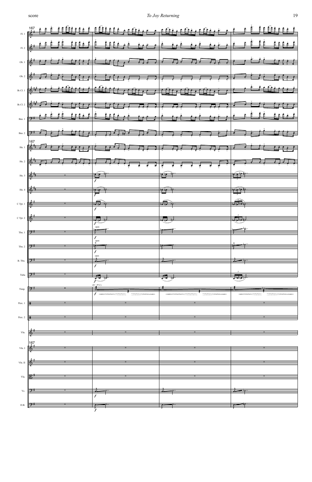![](_page_20_Figure_1.jpeg)

![](_page_20_Figure_4.jpeg)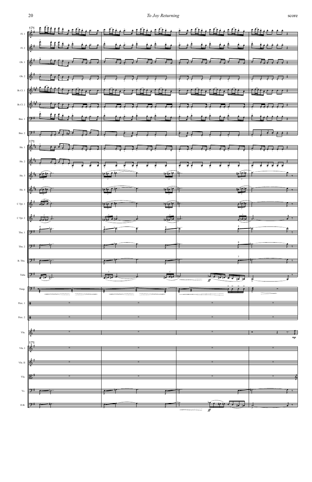|         | <u>nu prime een naar de groep om de groep om de groep og de groep om de groep og de groep og de groep om de groep</u>                                                                                                                                                                                                                                                      |                                                |                                                                                                                                                                                                                                                                                                                     |                      |                    |
|---------|----------------------------------------------------------------------------------------------------------------------------------------------------------------------------------------------------------------------------------------------------------------------------------------------------------------------------------------------------------------------------|------------------------------------------------|---------------------------------------------------------------------------------------------------------------------------------------------------------------------------------------------------------------------------------------------------------------------------------------------------------------------|----------------------|--------------------|
|         | n.2 <u>de litiri irrithështë ishte të tradit të tri</u>                                                                                                                                                                                                                                                                                                                    |                                                |                                                                                                                                                                                                                                                                                                                     |                      |                    |
|         |                                                                                                                                                                                                                                                                                                                                                                            |                                                |                                                                                                                                                                                                                                                                                                                     |                      |                    |
|         |                                                                                                                                                                                                                                                                                                                                                                            |                                                |                                                                                                                                                                                                                                                                                                                     |                      |                    |
|         | 0b.2 <u>0d in the contract of the contract of the contract of the contract of the contract of the contract of the contract of the contract of the contract of the contract of the contract of the contract of the contract of th</u>                                                                                                                                       |                                                |                                                                                                                                                                                                                                                                                                                     |                      |                    |
|         |                                                                                                                                                                                                                                                                                                                                                                            |                                                |                                                                                                                                                                                                                                                                                                                     |                      |                    |
|         | $B_{\rm ECL2}$ $\frac{1}{2}$ $\frac{1}{2}$ $\frac{1}{2}$ $\frac{1}{2}$ $\frac{1}{2}$ $\frac{1}{2}$ $\frac{1}{2}$ $\frac{1}{2}$ $\frac{1}{2}$ $\frac{1}{2}$ $\frac{1}{2}$ $\frac{1}{2}$ $\frac{1}{2}$ $\frac{1}{2}$ $\frac{1}{2}$ $\frac{1}{2}$ $\frac{1}{2}$ $\frac{1}{2}$ $\frac{1}{2}$ $\frac{1}{2}$ $\frac{1}{2}$                                                       |                                                |                                                                                                                                                                                                                                                                                                                     |                      |                    |
|         |                                                                                                                                                                                                                                                                                                                                                                            |                                                |                                                                                                                                                                                                                                                                                                                     |                      |                    |
|         | $Bsn.2$ $\sqrt{32^2 + 12^2 + 12^2 + 12^2}$ $\sqrt{32^2 + 12^2 + 12^2}$ $\sqrt{32^2 + 12^2 + 12^2}$ $\sqrt{32^2 + 12^2 + 12^2}$ $\sqrt{32^2 + 12^2 + 12^2}$                                                                                                                                                                                                                 |                                                |                                                                                                                                                                                                                                                                                                                     |                      |                    |
|         | $\frac{1}{2}$ and $\frac{1}{2}$ and $\frac{1}{2}$ and $\frac{1}{2}$ and $\frac{1}{2}$ and $\frac{1}{2}$ and $\frac{1}{2}$ and $\frac{1}{2}$ and $\frac{1}{2}$ and $\frac{1}{2}$ and $\frac{1}{2}$ and $\frac{1}{2}$ and $\frac{1}{2}$ and $\frac{1}{2}$ and $\frac{1}{2}$ and $\frac{1}{2}$ a                                                                              |                                                |                                                                                                                                                                                                                                                                                                                     |                      |                    |
|         |                                                                                                                                                                                                                                                                                                                                                                            |                                                |                                                                                                                                                                                                                                                                                                                     |                      |                    |
|         | $\frac{1 \text{m} \cdot 2}{\text{m} \cdot 2}$ $\frac{1}{\text{m} \cdot 2}$ $\frac{1}{\text{m} \cdot 2}$ $\frac{1}{\text{m} \cdot 2}$ $\frac{1}{\text{m} \cdot 2}$ $\frac{1}{\text{m} \cdot 2}$ $\frac{1}{\text{m} \cdot 2}$ $\frac{1}{\text{m} \cdot 2}$ $\frac{1}{\text{m} \cdot 2}$ $\frac{1}{\text{m} \cdot 2}$ $\frac{1}{\text{m} \cdot 2}$ $\frac{1}{\text{m} \cdot $ |                                                |                                                                                                                                                                                                                                                                                                                     |                      |                    |
|         | $_{\rm Hn.3}$ $\frac{24}{5}$                                                                                                                                                                                                                                                                                                                                               | $\frac{1}{2}$                                  | $\frac{1}{2}$                                                                                                                                                                                                                                                                                                       |                      | $\frac{1}{2}$      |
|         | Hn. 4 $\frac{1}{2}$                                                                                                                                                                                                                                                                                                                                                        | $\frac{1}{2}$ in the contract of $\frac{1}{2}$ | $\frac{1}{2}$                                                                                                                                                                                                                                                                                                       | 垂上的                  |                    |
|         | C Tpt. 1 $\left  \begin{array}{ccc} \overline{a} & \overline{b} & \overline{c} \\ \overline{a} & \overline{c} & \overline{c} \end{array} \right $                                                                                                                                                                                                                          | $\frac{1}{2}$                                  | $\frac{1}{2}$ $\frac{1}{2}$ $\frac{1}{2}$ $\frac{1}{2}$ $\frac{1}{2}$ $\frac{1}{2}$ $\frac{1}{2}$ $\frac{1}{2}$ $\frac{1}{2}$ $\frac{1}{2}$ $\frac{1}{2}$ $\frac{1}{2}$ $\frac{1}{2}$ $\frac{1}{2}$ $\frac{1}{2}$ $\frac{1}{2}$ $\frac{1}{2}$ $\frac{1}{2}$ $\frac{1}{2}$ $\frac{1}{2}$ $\frac{1}{2}$ $\frac{1}{2}$ | ويومو                |                    |
|         | C Tpt. 2 $\theta$ $\theta$                                                                                                                                                                                                                                                                                                                                                 | $\frac{1}{1000}$                               |                                                                                                                                                                                                                                                                                                                     | 扇                    |                    |
|         | Tbn. 1 $\frac{2}{3}$                                                                                                                                                                                                                                                                                                                                                       |                                                |                                                                                                                                                                                                                                                                                                                     |                      |                    |
|         |                                                                                                                                                                                                                                                                                                                                                                            |                                                | $\overline{\phantom{a}}$                                                                                                                                                                                                                                                                                            |                      | $\bar{V}$ $\gamma$ |
|         | B. Tbn. $\left  \frac{1}{2^{n}} \right $ $\frac{1}{2^{n}}$ $\frac{1}{2^{n}}$                                                                                                                                                                                                                                                                                               | $\overrightarrow{p}$                           |                                                                                                                                                                                                                                                                                                                     | $\overrightarrow{a}$ |                    |
|         | Tuba $\begin{array}{ c c c }\n\hline\n\end{array}$ $\begin{array}{ c c }\n\hline\n\end{array}$ $\begin{array}{ c c }\n\hline\n\end{array}$ $\begin{array}{ c c }\n\hline\n\end{array}$ $\begin{array}{ c c }\n\hline\n\end{array}$                                                                                                                                         | $\frac{1}{\sqrt{2\pi}}$                        |                                                                                                                                                                                                                                                                                                                     |                      |                    |
|         |                                                                                                                                                                                                                                                                                                                                                                            |                                                |                                                                                                                                                                                                                                                                                                                     |                      |                    |
|         |                                                                                                                                                                                                                                                                                                                                                                            |                                                |                                                                                                                                                                                                                                                                                                                     |                      |                    |
|         |                                                                                                                                                                                                                                                                                                                                                                            |                                                |                                                                                                                                                                                                                                                                                                                     |                      |                    |
| Perc. 2 |                                                                                                                                                                                                                                                                                                                                                                            |                                                |                                                                                                                                                                                                                                                                                                                     |                      |                    |
|         | <u> 1989 - Johann Barbara, martxa alemaniar arg</u>                                                                                                                                                                                                                                                                                                                        |                                                |                                                                                                                                                                                                                                                                                                                     |                      | $_{\it mp}$        |

 $V\!In.$  I

![](_page_21_Figure_4.jpeg)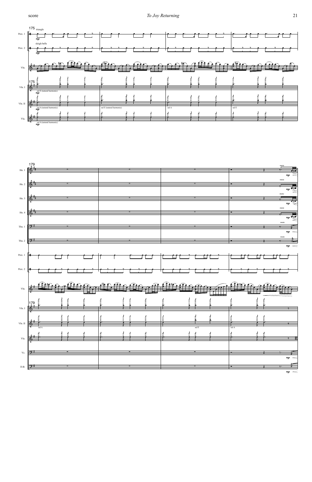![](_page_22_Figure_2.jpeg)

![](_page_22_Figure_3.jpeg)

![](_page_22_Figure_5.jpeg)

![](_page_22_Figure_6.jpeg)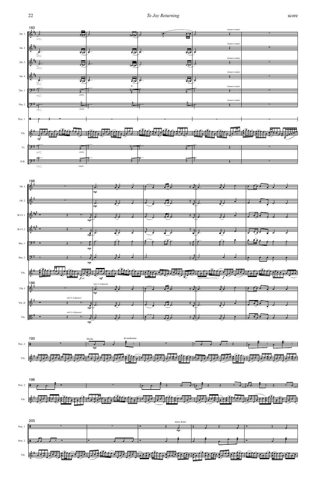![](_page_23_Figure_1.jpeg)

![](_page_23_Figure_2.jpeg)

![](_page_23_Figure_5.jpeg)

![](_page_23_Figure_6.jpeg)

![](_page_23_Figure_7.jpeg)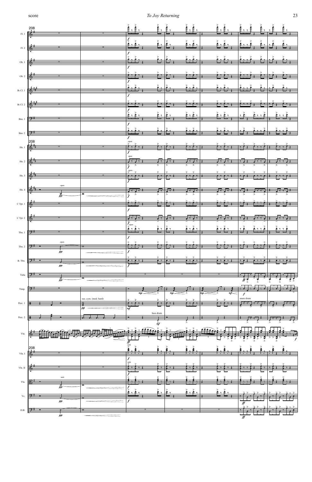![](_page_24_Figure_4.jpeg)

|                             |                        | $F1.1$ $F1.1$                 |                             |                                                                                                       |           |                      |           |                     |  |
|-----------------------------|------------------------|-------------------------------|-----------------------------|-------------------------------------------------------------------------------------------------------|-----------|----------------------|-----------|---------------------|--|
|                             | FI. 2 $\frac{2\pi}{3}$ |                               |                             |                                                                                                       |           |                      |           |                     |  |
| Ob. 1                       |                        |                               |                             | $\left  \begin{array}{cc} \frac{3}{2} & \frac{3}{2} \\ \frac{3}{2} & \frac{3}{2} \end{array} \right $ |           |                      |           |                     |  |
| Ob. 2 $\theta$              |                        |                               |                             | $\begin{array}{ c c c c c }\n\hline\n\end{array}$                                                     |           |                      |           |                     |  |
|                             |                        | $B \triangleright C1.1$       |                             |                                                                                                       |           |                      |           |                     |  |
|                             |                        | B > C1.2                      |                             | $\begin{array}{ c c c c c c }\n\hline\n\end{array}$                                                   |           |                      |           |                     |  |
| Bsn. 1 $\frac{1}{2}$        |                        |                               |                             |                                                                                                       |           |                      |           |                     |  |
| Bsn. 2 $\frac{1}{2}$        |                        |                               |                             |                                                                                                       |           |                      |           |                     |  |
| $\frac{208}{\frac{2}{10}}$  |                        |                               |                             |                                                                                                       |           |                      |           |                     |  |
| $\frac{1}{2}$ $\frac{1}{2}$ |                        |                               |                             | $\begin{array}{c c}\n\text{open} \\ \hline\n\end{array}$                                              |           |                      |           |                     |  |
|                             | $Hn.3$ $\frac{24}{10}$ |                               |                             | $\begin{array}{ c c c c }\n\hline & \text{open} & \text{per} & \text{per} \\ \hline\n\end{array}$     |           |                      |           |                     |  |
|                             | $Hn.4$ $\frac{24}{9}$  |                               |                             |                                                                                                       |           |                      |           |                     |  |
| $\mathrm{C}$ Tpt. 1         |                        |                               |                             |                                                                                                       |           |                      |           |                     |  |
| $\mathrm{C}$ Tpt. 2         |                        |                               |                             |                                                                                                       |           |                      |           |                     |  |
| Tbn. 1                      |                        |                               |                             |                                                                                                       |           |                      |           |                     |  |
| Tbn. 2                      |                        |                               |                             |                                                                                                       |           |                      |           |                     |  |
| B. Tbn.                     |                        | $\boldsymbol{pp}$<br>pp       |                             |                                                                                                       |           |                      |           |                     |  |
| Tuba                        |                        |                               |                             |                                                                                                       |           |                      |           |                     |  |
| Timp.                       |                        |                               |                             |                                                                                                       |           |                      |           |                     |  |
| Perc. 1                     |                        |                               | sus. cym. (med. hard)<br>pp |                                                                                                       |           |                      |           |                     |  |
| Perc. 2                     |                        |                               |                             |                                                                                                       | bass drum |                      |           |                     |  |
|                             |                        |                               |                             |                                                                                                       |           |                      |           |                     |  |
|                             |                        |                               |                             |                                                                                                       |           |                      |           |                     |  |
| Vln. I                      |                        |                               |                             |                                                                                                       |           |                      |           |                     |  |
| Vln. II                     |                        | tutti                         |                             |                                                                                                       |           |                      |           |                     |  |
| Vla.                        |                        | $\frac{\partial}{\partial p}$ |                             |                                                                                                       |           | $\geq$ $\geq$ $\geq$ | ∻<br>ደነደነ |                     |  |
| Vc.                         | $9 +$                  | $\boldsymbol{pp}$             |                             |                                                                                                       |           |                      |           |                     |  |
| D.B.                        | ∸)∺                    | $\boldsymbol{pp}$             | $\overline{\mathbf{o}}$     |                                                                                                       |           |                      |           | $f\hspace{-0.1cm}f$ |  |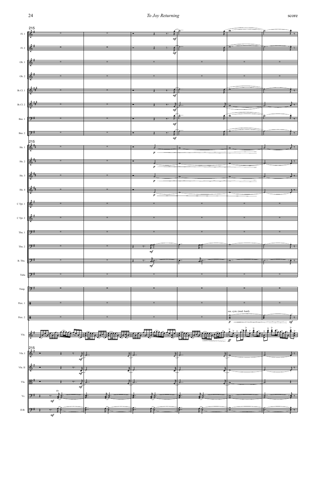score

![](_page_25_Figure_2.jpeg)

![](_page_25_Figure_3.jpeg)